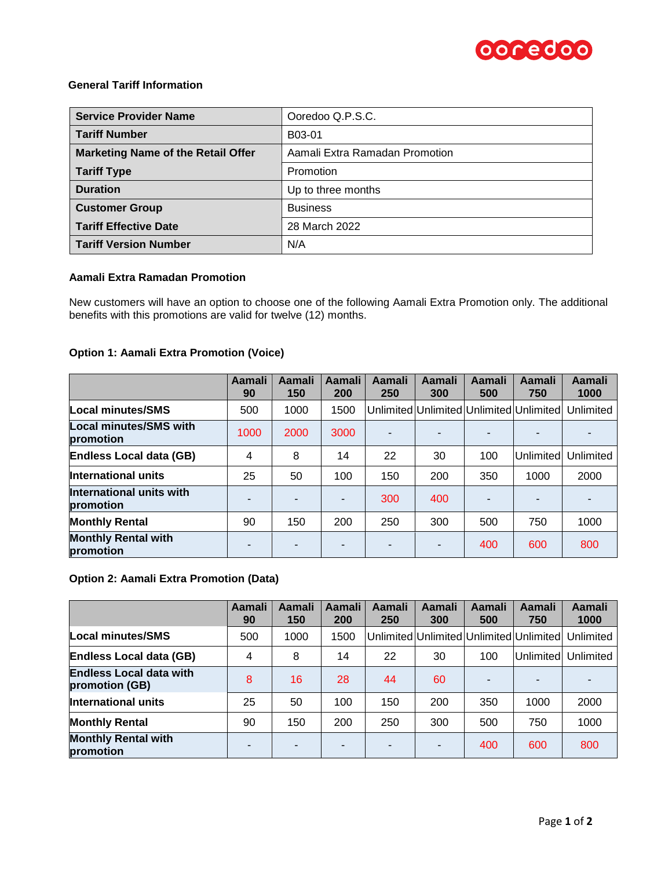

# **General Tariff Information**

| <b>Service Provider Name</b>              | Ooredoo Q.P.S.C.               |  |  |
|-------------------------------------------|--------------------------------|--|--|
| <b>Tariff Number</b>                      | B03-01                         |  |  |
| <b>Marketing Name of the Retail Offer</b> | Aamali Extra Ramadan Promotion |  |  |
| <b>Tariff Type</b>                        | Promotion                      |  |  |
| <b>Duration</b>                           | Up to three months             |  |  |
| <b>Customer Group</b>                     | <b>Business</b>                |  |  |
| <b>Tariff Effective Date</b>              | 28 March 2022                  |  |  |
| <b>Tariff Version Number</b>              | N/A                            |  |  |

### **Aamali Extra Ramadan Promotion**

New customers will have an option to choose one of the following Aamali Extra Promotion only. The additional benefits with this promotions are valid for twelve (12) months.

### **Option 1: Aamali Extra Promotion (Voice)**

|                                            | Aamali<br>90             | Aamali<br>150 | Aamali<br>200 | Aamali<br>250 | Aamali<br>300  | <b>Aamali</b><br>500 | Aamali<br>750                           | Aamali<br>1000 |
|--------------------------------------------|--------------------------|---------------|---------------|---------------|----------------|----------------------|-----------------------------------------|----------------|
| Local minutes/SMS                          | 500                      | 1000          | 1500          |               |                |                      | Unlimited Unlimited Unlimited Unlimited | Unlimited      |
| <b>Local minutes/SMS with</b><br>promotion | 1000                     | 2000          | 3000          |               |                |                      |                                         |                |
| <b>Endless Local data (GB)</b>             | $\overline{4}$           | 8             | 14            | 22            | 30             | 100                  | Unlimited                               | Unlimited      |
| International units                        | 25                       | 50            | 100           | 150           | 200            | 350                  | 1000                                    | 2000           |
| International units with<br>promotion      |                          |               |               | 300           | 400            |                      |                                         |                |
| <b>Monthly Rental</b>                      | 90                       | 150           | 200           | 250           | 300            | 500                  | 750                                     | 1000           |
| <b>Monthly Rental with</b><br>promotion    | $\overline{\phantom{0}}$ |               |               |               | $\blacksquare$ | 400                  | 600                                     | 800            |

# **Option 2: Aamali Extra Promotion (Data)**

|                                                  | <b>Aamali</b><br>90 | Aamali<br>150 | Aamali<br>200 | Aamali<br>250 | Aamali<br>300 | Aamali<br>500 | Aamali<br>750                           | Aamali<br>1000 |
|--------------------------------------------------|---------------------|---------------|---------------|---------------|---------------|---------------|-----------------------------------------|----------------|
| <b>Local minutes/SMS</b>                         | 500                 | 1000          | 1500          |               |               |               | Unlimited Unlimited Unlimited Unlimited | Unlimited      |
| <b>Endless Local data (GB)</b>                   | 4                   | 8             | 14            | 22            | 30            | 100           | Unlimited                               | Unlimited      |
| <b>Endless Local data with</b><br>promotion (GB) | 8                   | 16            | 28            | 44            | 60            |               |                                         |                |
| <b>International units</b>                       | 25                  | 50            | 100           | 150           | 200           | 350           | 1000                                    | 2000           |
| <b>Monthly Rental</b>                            | 90                  | 150           | 200           | 250           | 300           | 500           | 750                                     | 1000           |
| <b>Monthly Rental with</b><br>promotion          | -                   |               | -             | -             | ۰             | 400           | 600                                     | 800            |